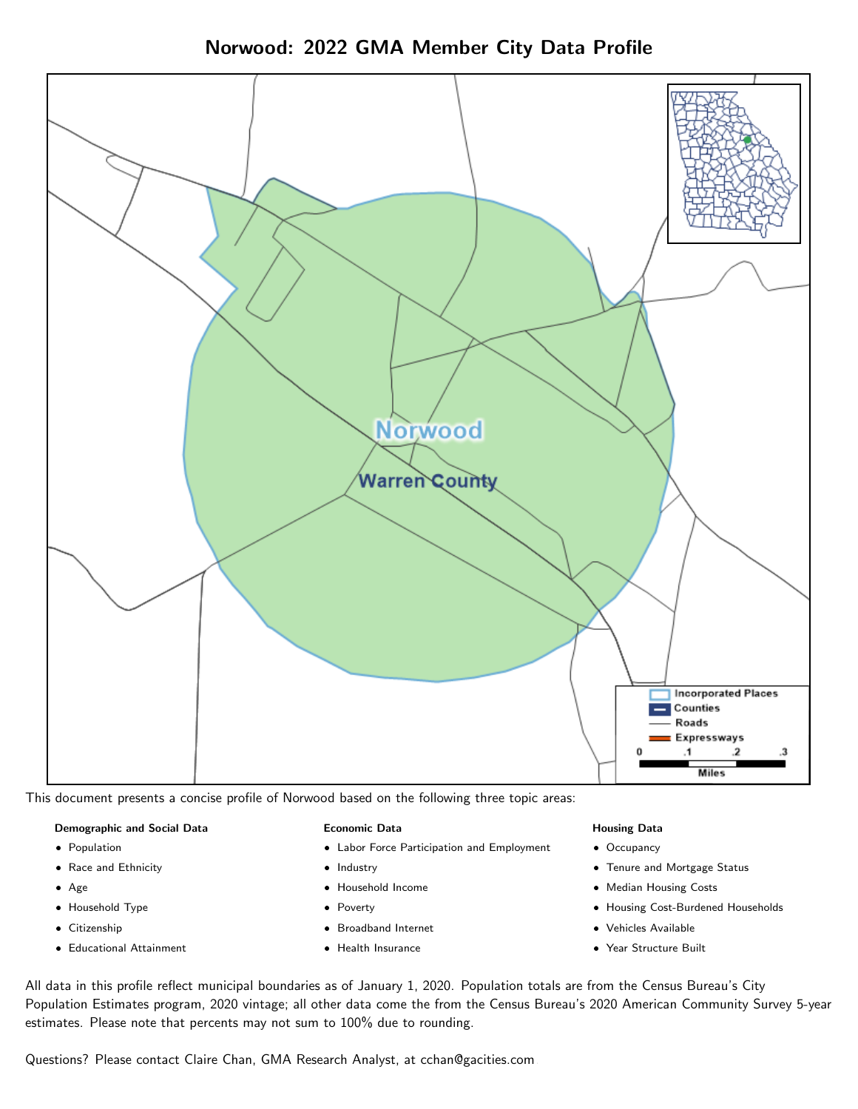Norwood: 2022 GMA Member City Data Profile



This document presents a concise profile of Norwood based on the following three topic areas:

#### Demographic and Social Data

- **•** Population
- Race and Ethnicity
- Age
- Household Type
- **Citizenship**
- Educational Attainment

#### Economic Data

- Labor Force Participation and Employment
- Industry
- Household Income
- Poverty
- Broadband Internet
- Health Insurance

#### Housing Data

- Occupancy
- Tenure and Mortgage Status
- Median Housing Costs
- Housing Cost-Burdened Households
- Vehicles Available
- Year Structure Built

All data in this profile reflect municipal boundaries as of January 1, 2020. Population totals are from the Census Bureau's City Population Estimates program, 2020 vintage; all other data come the from the Census Bureau's 2020 American Community Survey 5-year estimates. Please note that percents may not sum to 100% due to rounding.

Questions? Please contact Claire Chan, GMA Research Analyst, at [cchan@gacities.com.](mailto:cchan@gacities.com)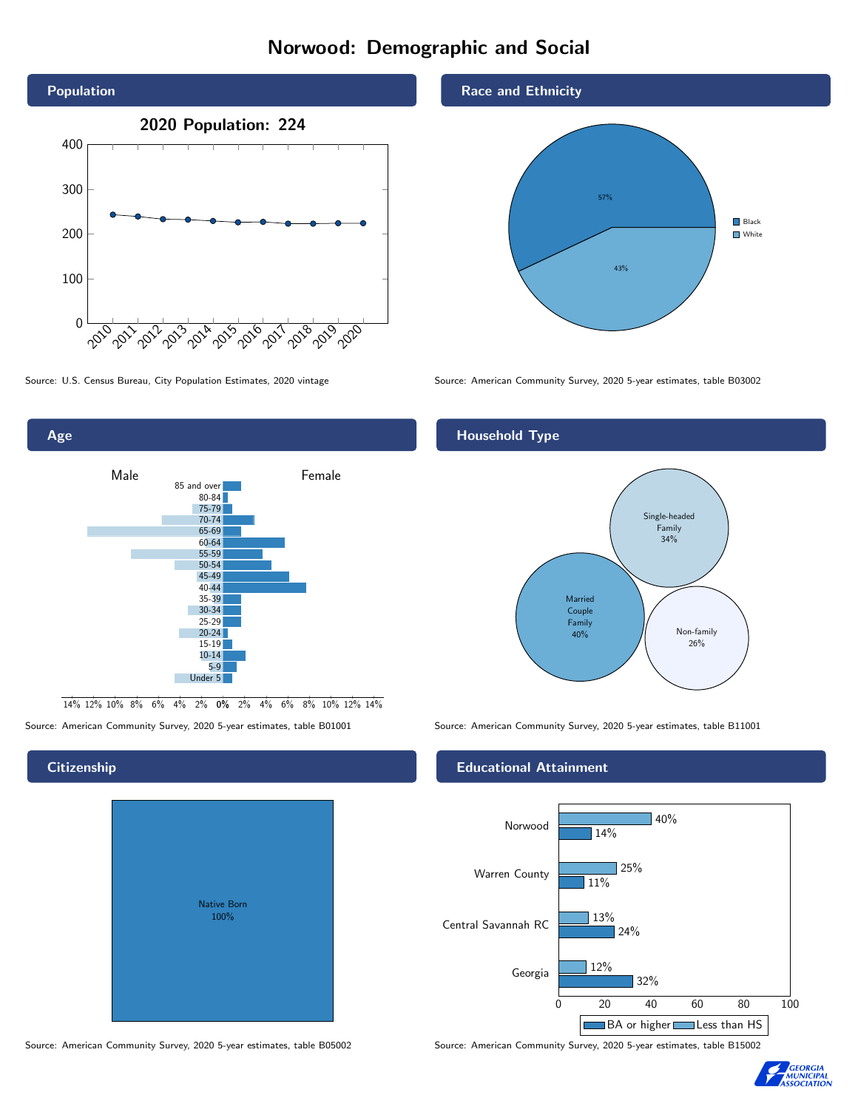# Norwood: Demographic and Social





0% 2% 4% 6% 8% 10% 12% 14% 14% 12% 10% 8% 6% 4% 2%

# **Citizenship**

Age

| <b>Native Born</b><br>100% |  |
|----------------------------|--|
|                            |  |

Race and Ethnicity



Source: U.S. Census Bureau, City Population Estimates, 2020 vintage Source: American Community Survey, 2020 5-year estimates, table B03002

# Household Type



Source: American Community Survey, 2020 5-year estimates, table B01001 Source: American Community Survey, 2020 5-year estimates, table B11001

### Educational Attainment



Source: American Community Survey, 2020 5-year estimates, table B05002 Source: American Community Survey, 2020 5-year estimates, table B15002

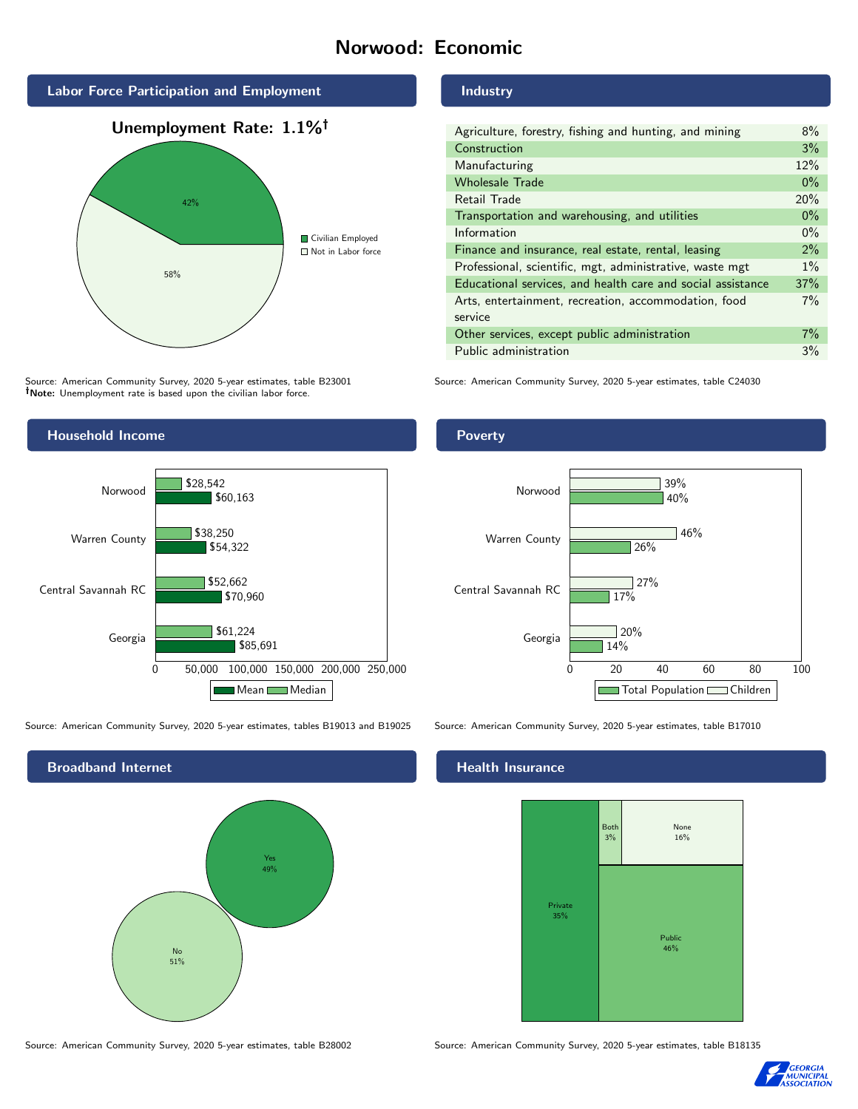# Norwood: Economic



Source: American Community Survey, 2020 5-year estimates, table B23001 Note: Unemployment rate is based upon the civilian labor force.

# Industry

| Agriculture, forestry, fishing and hunting, and mining      | 8%    |
|-------------------------------------------------------------|-------|
| Construction                                                | 3%    |
| Manufacturing                                               | 12%   |
| <b>Wholesale Trade</b>                                      | $0\%$ |
| Retail Trade                                                | 20%   |
| Transportation and warehousing, and utilities               |       |
| Information                                                 | $0\%$ |
| Finance and insurance, real estate, rental, leasing         |       |
| Professional, scientific, mgt, administrative, waste mgt    |       |
| Educational services, and health care and social assistance | 37%   |
| Arts, entertainment, recreation, accommodation, food        | 7%    |
| service                                                     |       |
| Other services, except public administration                |       |
| Public administration                                       |       |

Source: American Community Survey, 2020 5-year estimates, table C24030



Source: American Community Survey, 2020 5-year estimates, tables B19013 and B19025 Source: American Community Survey, 2020 5-year estimates, table B17010

Broadband Internet No 51% Yes 49%

#### Health Insurance



Source: American Community Survey, 2020 5-year estimates, table B28002 Source: American Community Survey, 2020 5-year estimates, table B18135



#### Poverty